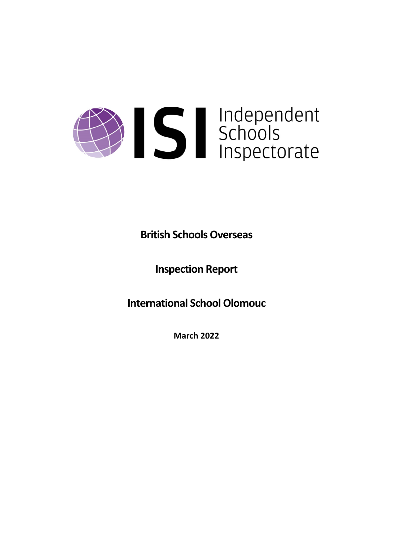# Solutions<br>Schools<br>Inspectorate

# **British Schools Overseas**

**Inspection Report**

**International School Olomouc**

**March 2022**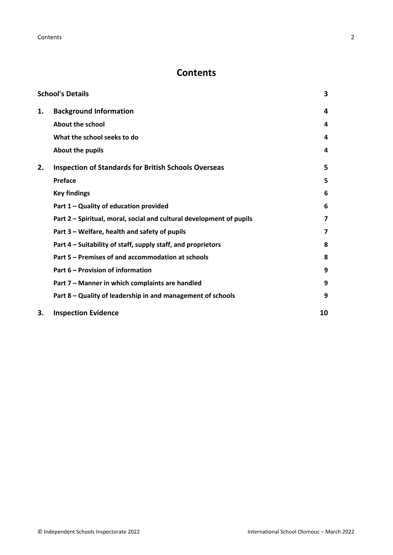**Contents** 2

# **Contents**

| <b>School's Details</b> |                                                                      |                         |
|-------------------------|----------------------------------------------------------------------|-------------------------|
| 1.                      | <b>Background Information</b>                                        | 4                       |
|                         | <b>About the school</b>                                              | 4                       |
|                         | What the school seeks to do                                          | 4                       |
|                         | About the pupils                                                     | 4                       |
| 2.                      | <b>Inspection of Standards for British Schools Overseas</b>          | 5                       |
|                         | <b>Preface</b>                                                       | 5                       |
|                         | <b>Key findings</b>                                                  | 6                       |
|                         | Part 1 - Quality of education provided                               | 6                       |
|                         | Part 2 – Spiritual, moral, social and cultural development of pupils | $\overline{\mathbf{z}}$ |
|                         | Part 3 - Welfare, health and safety of pupils                        | $\overline{\mathbf{z}}$ |
|                         | Part 4 – Suitability of staff, supply staff, and proprietors         | 8                       |
|                         | Part 5 – Premises of and accommodation at schools                    | 8                       |
|                         | Part 6 – Provision of information                                    | 9                       |
|                         | Part 7 - Manner in which complaints are handled                      | 9                       |
|                         | Part 8 - Quality of leadership in and management of schools          | 9                       |
| З.                      | <b>Inspection Evidence</b>                                           | 10                      |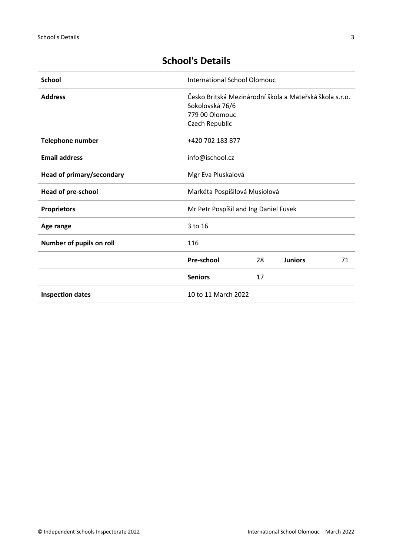| <b>School</b>             | <b>International School Olomouc</b>                     |
|---------------------------|---------------------------------------------------------|
| <b>Address</b>            | Česko Britská Mezinárodní škola a Mateřská škola s.r.o. |
|                           | Sokolovská 76/6                                         |
|                           | 779 00 Olomouc                                          |
|                           | Czech Republic                                          |
| Telephone number          | +420 702 183 877                                        |
| <b>Email address</b>      | info@ischool.cz                                         |
| Head of primary/secondary | Mgr Eva Pluskalová                                      |
| <b>Head of pre-school</b> | Markéta Pospíšilová Musiolová                           |
| <b>Proprietors</b>        | Mr Petr Pospíšil and Ing Daniel Fusek                   |
| Age range                 | 3 to 16                                                 |
| Number of pupils on roll  | 116                                                     |
|                           | Pre-school<br>28<br><b>Juniors</b><br>71                |

**Inspection dates** 10 to 11 March 2022

Seniors 17

# <span id="page-2-0"></span>**School's Details**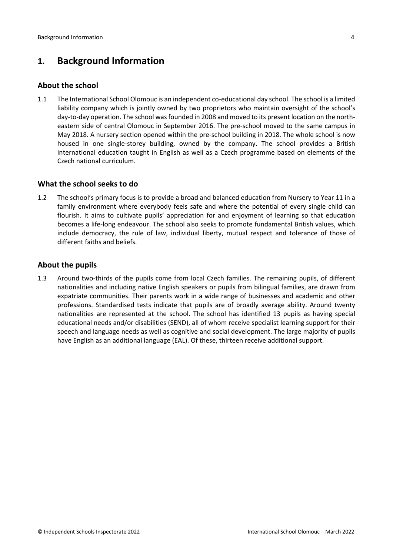# <span id="page-3-0"></span>**1. Background Information**

# <span id="page-3-1"></span>**About the school**

1.1 The International School Olomouc is an independent co-educational day school. The school is a limited liability company which is jointly owned by two proprietors who maintain oversight of the school's day-to-day operation. The school was founded in 2008 and moved to its present location on the northeastern side of central Olomouc in September 2016. The pre-school moved to the same campus in May 2018. A nursery section opened within the pre-school building in 2018. The whole school is now housed in one single-storey building, owned by the company. The school provides a British international education taught in English as well as a Czech programme based on elements of the Czech national curriculum.

# <span id="page-3-2"></span>**What the school seeks to do**

1.2 The school's primary focus is to provide a broad and balanced education from Nursery to Year 11 in a family environment where everybody feels safe and where the potential of every single child can flourish. It aims to cultivate pupils' appreciation for and enjoyment of learning so that education becomes a life-long endeavour. The school also seeks to promote fundamental British values, which include democracy, the rule of law, individual liberty, mutual respect and tolerance of those of different faiths and beliefs.

# <span id="page-3-3"></span>**About the pupils**

1.3 Around two-thirds of the pupils come from local Czech families. The remaining pupils, of different nationalities and including native English speakers or pupils from bilingual families, are drawn from expatriate communities. Their parents work in a wide range of businesses and academic and other professions. Standardised tests indicate that pupils are of broadly average ability. Around twenty nationalities are represented at the school. The school has identified 13 pupils as having special educational needs and/or disabilities (SEND), all of whom receive specialist learning support for their speech and language needs as well as cognitive and social development. The large majority of pupils have English as an additional language (EAL). Of these, thirteen receive additional support.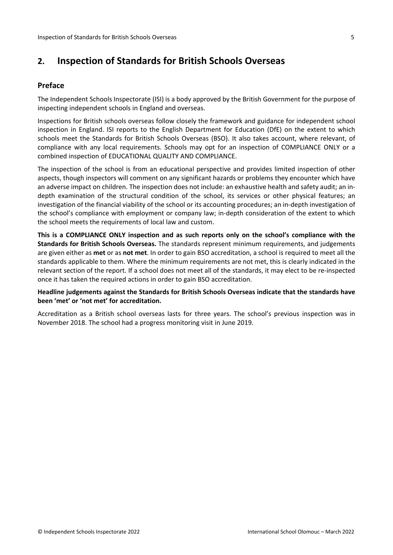# <span id="page-4-0"></span>**2. Inspection of Standards for British Schools Overseas**

# <span id="page-4-1"></span>**Preface**

The Independent Schools Inspectorate (ISI) is a body approved by the British Government for the purpose of inspecting independent schools in England and overseas.

Inspections for British schools overseas follow closely the framework and guidance for independent school inspection in England. ISI reports to the English Department for Education (DfE) on the extent to which schools meet the Standards for British Schools Overseas (BSO). It also takes account, where relevant, of compliance with any local requirements. Schools may opt for an inspection of COMPLIANCE ONLY or a combined inspection of EDUCATIONAL QUALITY AND COMPLIANCE.

The inspection of the school is from an educational perspective and provides limited inspection of other aspects, though inspectors will comment on any significant hazards or problems they encounter which have an adverse impact on children. The inspection does not include: an exhaustive health and safety audit; an indepth examination of the structural condition of the school, its services or other physical features; an investigation of the financial viability of the school or its accounting procedures; an in-depth investigation of the school's compliance with employment or company law; in-depth consideration of the extent to which the school meets the requirements of local law and custom.

**This is a COMPLIANCE ONLY inspection and as such reports only on the school's compliance with the Standards for British Schools Overseas.** The standards represent minimum requirements, and judgements are given either as **met** or as **not met**. In order to gain BSO accreditation, a school is required to meet all the standards applicable to them. Where the minimum requirements are not met, this is clearly indicated in the relevant section of the report. If a school does not meet all of the standards, it may elect to be re-inspected once it has taken the required actions in order to gain BSO accreditation.

# **Headline judgements against the Standards for British Schools Overseas indicate that the standards have been 'met' or 'not met' for accreditation.**

Accreditation as a British school overseas lasts for three years. The school's previous inspection was in November 2018. The school had a progress monitoring visit in June 2019.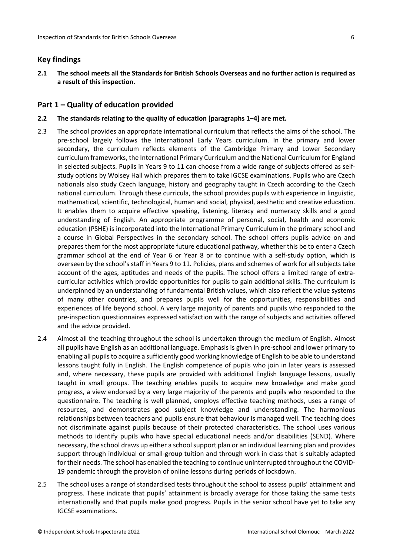## <span id="page-5-0"></span>**Key findings**

2.1 The school meets all the Standards for British Schools Overseas and no further action is required as **a result of this inspection.**

#### <span id="page-5-1"></span>**Part 1 – Quality of education provided**

#### **2.2 The standards relating to the quality of education [paragraphs 1–4] are met.**

- 2.3 The school provides an appropriate international curriculum that reflects the aims of the school. The pre-school largely follows the International Early Years curriculum. In the primary and lower secondary, the curriculum reflects elements of the Cambridge Primary and Lower Secondary curriculum frameworks, the International Primary Curriculum and the National Curriculum for England in selected subjects. Pupils in Years 9 to 11 can choose from a wide range of subjects offered as selfstudy options by Wolsey Hall which prepares them to take IGCSE examinations. Pupils who are Czech nationals also study Czech language, history and geography taught in Czech according to the Czech national curriculum. Through these curricula, the school provides pupils with experience in linguistic, mathematical, scientific, technological, human and social, physical, aesthetic and creative education. It enables them to acquire effective speaking, listening, literacy and numeracy skills and a good understanding of English. An appropriate programme of personal, social, health and economic education (PSHE) is incorporated into the International Primary Curriculum in the primary school and a course in Global Perspectives in the secondary school. The school offers pupils advice on and prepares them for the most appropriate future educational pathway, whether this be to enter a Czech grammar school at the end of Year 6 or Year 8 or to continue with a self-study option, which is overseen by the school's staff in Years 9 to 11. Policies, plans and schemes of work for all subjects take account of the ages, aptitudes and needs of the pupils. The school offers a limited range of extracurricular activities which provide opportunities for pupils to gain additional skills. The curriculum is underpinned by an understanding of fundamental British values, which also reflect the value systems of many other countries, and prepares pupils well for the opportunities, responsibilities and experiences of life beyond school. A very large majority of parents and pupils who responded to the pre-inspection questionnaires expressed satisfaction with the range of subjects and activities offered and the advice provided.
- 2.4 Almost all the teaching throughout the school is undertaken through the medium of English. Almost all pupils have English as an additional language. Emphasis is given in pre-school and lower primary to enabling all pupils to acquire a sufficiently good working knowledge of English to be able to understand lessons taught fully in English. The English competence of pupils who join in later years is assessed and, where necessary, these pupils are provided with additional English language lessons, usually taught in small groups. The teaching enables pupils to acquire new knowledge and make good progress, a view endorsed by a very large majority of the parents and pupils who responded to the questionnaire. The teaching is well planned, employs effective teaching methods, uses a range of resources, and demonstrates good subject knowledge and understanding. The harmonious relationships between teachers and pupils ensure that behaviour is managed well. The teaching does not discriminate against pupils because of their protected characteristics. The school uses various methods to identify pupils who have special educational needs and/or disabilities (SEND). Where necessary, the school draws up either a school support plan or an individual learning plan and provides support through individual or small-group tuition and through work in class that is suitably adapted for their needs. The school has enabled the teaching to continue uninterrupted throughout the COVID-19 pandemic through the provision of online lessons during periods of lockdown.
- 2.5 The school uses a range of standardised tests throughout the school to assess pupils' attainment and progress. These indicate that pupils' attainment is broadly average for those taking the same tests internationally and that pupils make good progress. Pupils in the senior school have yet to take any IGCSE examinations.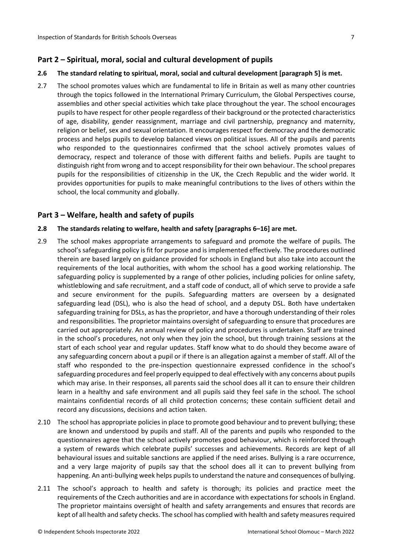# <span id="page-6-0"></span>**Part 2 – Spiritual, moral, social and cultural development of pupils**

#### **2.6 The standard relating to spiritual, moral, social and cultural development [paragraph 5] is met.**

2.7 The school promotes values which are fundamental to life in Britain as well as many other countries through the topics followed in the International Primary Curriculum, the Global Perspectives course, assemblies and other special activities which take place throughout the year. The school encourages pupilsto have respect for other people regardless of their background or the protected characteristics of age, disability, gender reassignment, marriage and civil partnership, pregnancy and maternity, religion or belief, sex and sexual orientation. It encourages respect for democracy and the democratic process and helps pupils to develop balanced views on political issues. All of the pupils and parents who responded to the questionnaires confirmed that the school actively promotes values of democracy, respect and tolerance of those with different faiths and beliefs. Pupils are taught to distinguish right from wrong and to accept responsibility for their own behaviour. The school prepares pupils for the responsibilities of citizenship in the UK, the Czech Republic and the wider world. It provides opportunities for pupils to make meaningful contributions to the lives of others within the school, the local community and globally.

# <span id="page-6-1"></span>**Part 3 – Welfare, health and safety of pupils**

#### **2.8 The standards relating to welfare, health and safety [paragraphs 6–16] are met.**

- 2.9 The school makes appropriate arrangements to safeguard and promote the welfare of pupils. The school's safeguarding policy is fit for purpose and is implemented effectively. The procedures outlined therein are based largely on guidance provided for schools in England but also take into account the requirements of the local authorities, with whom the school has a good working relationship. The safeguarding policy is supplemented by a range of other policies, including policies for online safety, whistleblowing and safe recruitment, and a staff code of conduct, all of which serve to provide a safe and secure environment for the pupils. Safeguarding matters are overseen by a designated safeguarding lead (DSL), who is also the head of school, and a deputy DSL. Both have undertaken safeguarding training for DSLs, as hasthe proprietor, and have a thorough understanding of their roles and responsibilities. The proprietor maintains oversight of safeguarding to ensure that procedures are carried out appropriately. An annual review of policy and procedures is undertaken. Staff are trained in the school's procedures, not only when they join the school, but through training sessions at the start of each school year and regular updates. Staff know what to do should they become aware of any safeguarding concern about a pupil or if there is an allegation against a member of staff. All of the staff who responded to the pre-inspection questionnaire expressed confidence in the school's safeguarding procedures and feel properly equipped to deal effectively with any concerns about pupils which may arise. In their responses, all parents said the school does all it can to ensure their children learn in a healthy and safe environment and all pupils said they feel safe in the school. The school maintains confidential records of all child protection concerns; these contain sufficient detail and record any discussions, decisions and action taken.
- 2.10 The school has appropriate policies in place to promote good behaviour and to prevent bullying; these are known and understood by pupils and staff. All of the parents and pupils who responded to the questionnaires agree that the school actively promotes good behaviour, which is reinforced through a system of rewards which celebrate pupils' successes and achievements. Records are kept of all behavioural issues and suitable sanctions are applied if the need arises. Bullying is a rare occurrence, and a very large majority of pupils say that the school does all it can to prevent bullying from happening. An anti-bullying week helps pupils to understand the nature and consequences of bullying.
- 2.11 The school's approach to health and safety is thorough; its policies and practice meet the requirements of the Czech authorities and are in accordance with expectations for schools in England. The proprietor maintains oversight of health and safety arrangements and ensures that records are kept of all health and safety checks. The school has complied with health and safety measures required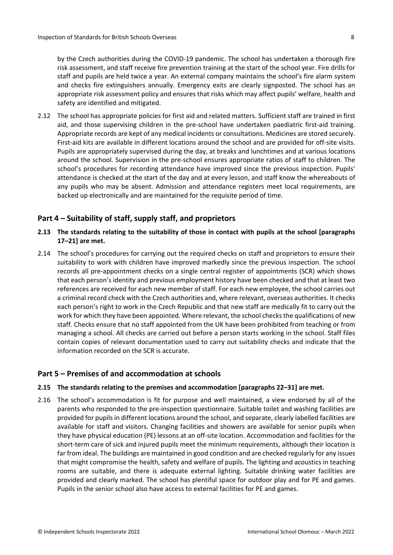by the Czech authorities during the COVID-19 pandemic. The school has undertaken a thorough fire risk assessment, and staff receive fire prevention training at the start of the school year. Fire drills for staff and pupils are held twice a year. An external company maintains the school's fire alarm system and checks fire extinguishers annually. Emergency exits are clearly signposted. The school has an appropriate risk assessment policy and ensures that risks which may affect pupils' welfare, health and safety are identified and mitigated.

2.12 The school has appropriate policies for first aid and related matters. Sufficient staff are trained in first aid, and those supervising children in the pre-school have undertaken paediatric first-aid training. Appropriate records are kept of any medical incidents or consultations. Medicines are stored securely. First-aid kits are available in different locations around the school and are provided for off-site visits. Pupils are appropriately supervised during the day, at breaks and lunchtimes and at various locations around the school. Supervision in the pre-school ensures appropriate ratios of staff to children. The school's procedures for recording attendance have improved since the previous inspection. Pupils' attendance is checked at the start of the day and at every lesson, and staff know the whereabouts of any pupils who may be absent. Admission and attendance registers meet local requirements, are backed up electronically and are maintained for the requisite period of time.

# <span id="page-7-0"></span>**Part 4 – Suitability of staff, supply staff, and proprietors**

- **2.13 The standards relating to the suitability of those in contact with pupils at the school [paragraphs 17–21] are met.**
- 2.14 The school's procedures for carrying out the required checks on staff and proprietors to ensure their suitability to work with children have improved markedly since the previous inspection. The school records all pre-appointment checks on a single central register of appointments (SCR) which shows that each person's identity and previous employment history have been checked and that at least two references are received for each new member of staff. For each new employee, the school carries out a criminal record check with the Czech authorities and, where relevant, overseas authorities. It checks each person's right to work in the Czech Republic and that new staff are medically fit to carry out the work for which they have been appointed. Where relevant, the school checks the qualifications of new staff. Checks ensure that no staff appointed from the UK have been prohibited from teaching or from managing a school. All checks are carried out before a person starts working in the school. Staff files contain copies of relevant documentation used to carry out suitability checks and indicate that the information recorded on the SCR is accurate.

# <span id="page-7-1"></span>**Part 5 – Premises of and accommodation at schools**

# **2.15 The standards relating to the premises and accommodation [paragraphs 22–31] are met.**

2.16 The school's accommodation is fit for purpose and well maintained, a view endorsed by all of the parents who responded to the pre-inspection questionnaire. Suitable toilet and washing facilities are provided for pupils in different locations around the school, and separate, clearly labelled facilities are available for staff and visitors. Changing facilities and showers are available for senior pupils when they have physical education (PE) lessons at an off-site location. Accommodation and facilities for the short-term care of sick and injured pupils meet the minimum requirements, although their location is far from ideal. The buildings are maintained in good condition and are checked regularly for any issues that might compromise the health, safety and welfare of pupils. The lighting and acoustics in teaching rooms are suitable, and there is adequate external lighting. Suitable drinking water facilities are provided and clearly marked. The school has plentiful space for outdoor play and for PE and games. Pupils in the senior school also have access to external facilities for PE and games.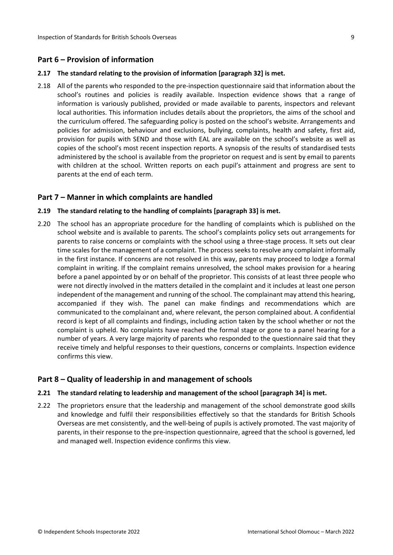## <span id="page-8-0"></span>**Part 6 – Provision of information**

#### **2.17 The standard relating to the provision of information [paragraph 32] is met.**

2.18 All of the parents who responded to the pre-inspection questionnaire said that information about the school's routines and policies is readily available. Inspection evidence shows that a range of information is variously published, provided or made available to parents, inspectors and relevant local authorities. This information includes details about the proprietors, the aims of the school and the curriculum offered. The safeguarding policy is posted on the school's website. Arrangements and policies for admission, behaviour and exclusions, bullying, complaints, health and safety, first aid, provision for pupils with SEND and those with EAL are available on the school's website as well as copies of the school's most recent inspection reports. A synopsis of the results of standardised tests administered by the school is available from the proprietor on request and is sent by email to parents with children at the school. Written reports on each pupil's attainment and progress are sent to parents at the end of each term.

#### <span id="page-8-1"></span>**Part 7 – Manner in which complaints are handled**

#### **2.19 The standard relating to the handling of complaints [paragraph 33] is met.**

2.20 The school has an appropriate procedure for the handling of complaints which is published on the school website and is available to parents. The school's complaints policy sets out arrangements for parents to raise concerns or complaints with the school using a three-stage process. It sets out clear time scales for the management of a complaint. The process seeks to resolve any complaint informally in the first instance. If concerns are not resolved in this way, parents may proceed to lodge a formal complaint in writing. If the complaint remains unresolved, the school makes provision for a hearing before a panel appointed by or on behalf of the proprietor. This consists of at least three people who were not directly involved in the matters detailed in the complaint and it includes at least one person independent of the management and running of the school. The complainant may attend this hearing, accompanied if they wish. The panel can make findings and recommendations which are communicated to the complainant and, where relevant, the person complained about. A confidential record is kept of all complaints and findings, including action taken by the school whether or not the complaint is upheld. No complaints have reached the formal stage or gone to a panel hearing for a number of years. A very large majority of parents who responded to the questionnaire said that they receive timely and helpful responses to their questions, concerns or complaints. Inspection evidence confirms this view.

# <span id="page-8-2"></span>**Part 8 – Quality of leadership in and management of schools**

#### **2.21 The standard relating to leadership and management of the school [paragraph 34] is met.**

2.22 The proprietors ensure that the leadership and management of the school demonstrate good skills and knowledge and fulfil their responsibilities effectively so that the standards for British Schools Overseas are met consistently, and the well-being of pupils is actively promoted. The vast majority of parents, in their response to the pre-inspection questionnaire, agreed that the school is governed, led and managed well. Inspection evidence confirms this view.